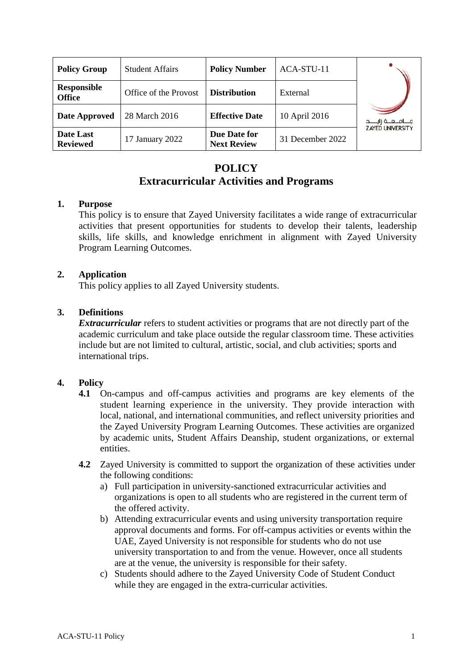| <b>Policy Group</b>                 | <b>Student Affairs</b> | <b>Policy Number</b>               | ACA-STU-11       |                           |
|-------------------------------------|------------------------|------------------------------------|------------------|---------------------------|
| <b>Responsible</b><br><b>Office</b> | Office of the Provost  | <b>Distribution</b>                | External         |                           |
| Date Approved                       | 28 March 2016          | <b>Effective Date</b>              | 10 April 2016    | جــــامـــعـــة زايـــــد |
| Date Last<br><b>Reviewed</b>        | 17 January 2022        | Due Date for<br><b>Next Review</b> | 31 December 2022 | <b>ZAYED UNIVERSITY</b>   |

# **POLICY Extracurricular Activities and Programs**

#### **1. Purpose**

This policy is to ensure that Zayed University facilitates a wide range of extracurricular activities that present opportunities for students to develop their talents, leadership skills, life skills, and knowledge enrichment in alignment with Zayed University Program Learning Outcomes.

#### **2. Application**

This policy applies to all Zayed University students.

#### **3. Definitions**

*Extracurricular* refers to student activities or programs that are not directly part of the academic curriculum and take place outside the regular classroom time. These activities include but are not limited to cultural, artistic, social, and club activities; sports and international trips.

#### **4. Policy**

- **4.1** On-campus and off-campus activities and programs are key elements of the student learning experience in the university. They provide interaction with local, national, and international communities, and reflect university priorities and the Zayed University Program Learning Outcomes. These activities are organized by academic units, Student Affairs Deanship, student organizations, or external entities.
- **4.2** Zayed University is committed to support the organization of these activities under the following conditions:
	- a) Full participation in university-sanctioned extracurricular activities and organizations is open to all students who are registered in the current term of the offered activity.
	- b) Attending extracurricular events and using university transportation require approval documents and forms. For off-campus activities or events within the UAE, Zayed University is not responsible for students who do not use university transportation to and from the venue. However, once all students are at the venue, the university is responsible for their safety.
	- c) Students should adhere to the Zayed University Code of Student Conduct while they are engaged in the extra-curricular activities.